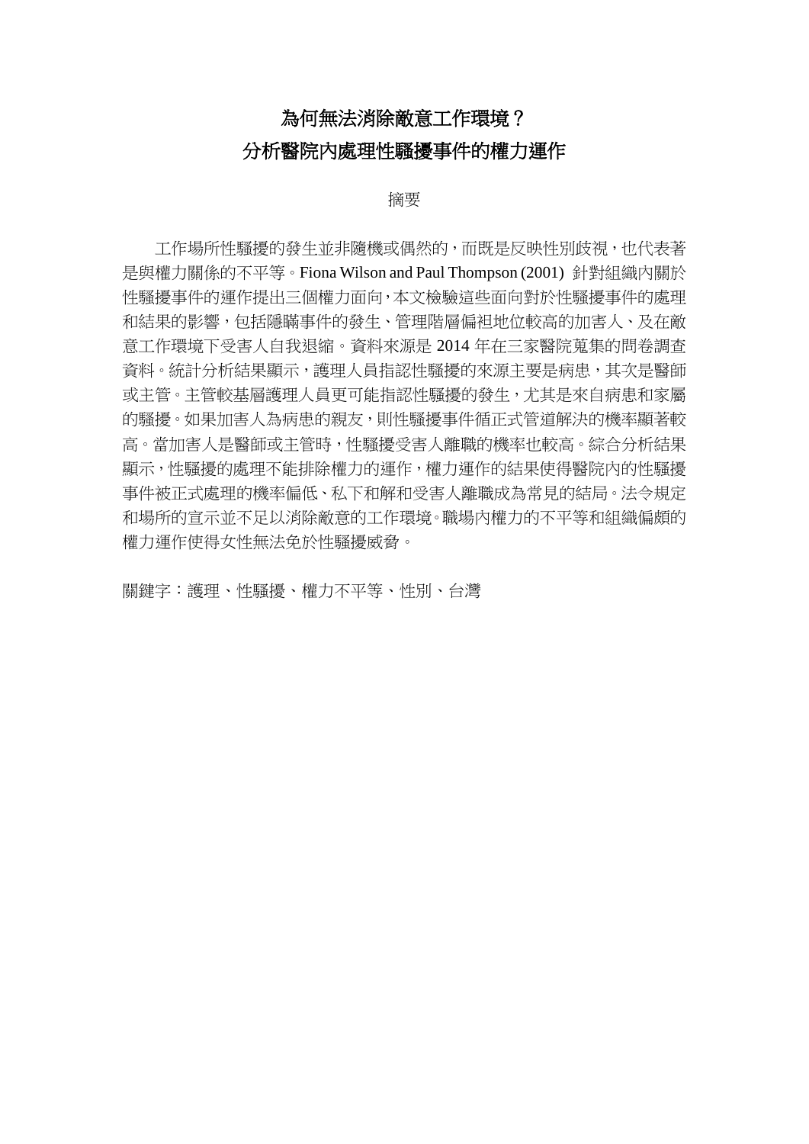## 為何無法消除敵意工作環境? 分析醫院內處理性騷擾事件的權力運作

## 摘要

工作場所性騷擾的發生並非隨機或偶然的,而既是反映性別歧視,也代表著 是與權力關係的不平等。Fiona Wilson and Paul Thompson (2001) 針對組織內關於 性騷擾事件的運作提出三個權力面向,本文檢驗這些面向對於性騷擾事件的處理 和結果的影響,包括隱瞞事件的發生、管理階層偏袒地位較高的加害人、及在敵 意工作環境下受害人自我退縮。資料來源是 2014 年在三家醫院蒐集的問卷調查 資料。統計分析結果顯示,護理人員指認性騷擾的來源主要是病患,其次是醫師 或主管。主管較基層護理人員更可能指認性騷擾的發生,尤其是來自病患和家屬 的騷擾。如果加害人為病患的親友,則性騷擾事件循正式管道解決的機率顯著較 高。當加害人是醫師或主管時,性騷擾受害人離職的機率也較高。綜合分析結果 顯示,性騷擾的處理不能排除權力的運作,權力運作的結果使得醫院內的性騷擾 事件被正式處理的機率偏低、私下和解和受害人離職成為常見的結局。法令規定 和場所的宣示並不足以消除敵意的工作環境。職場內權力的不平等和組織偏頗的 權力運作使得女性無法免於性騷擾威脅。

關鍵字:護理、性騷擾、權力不平等、性別、台灣